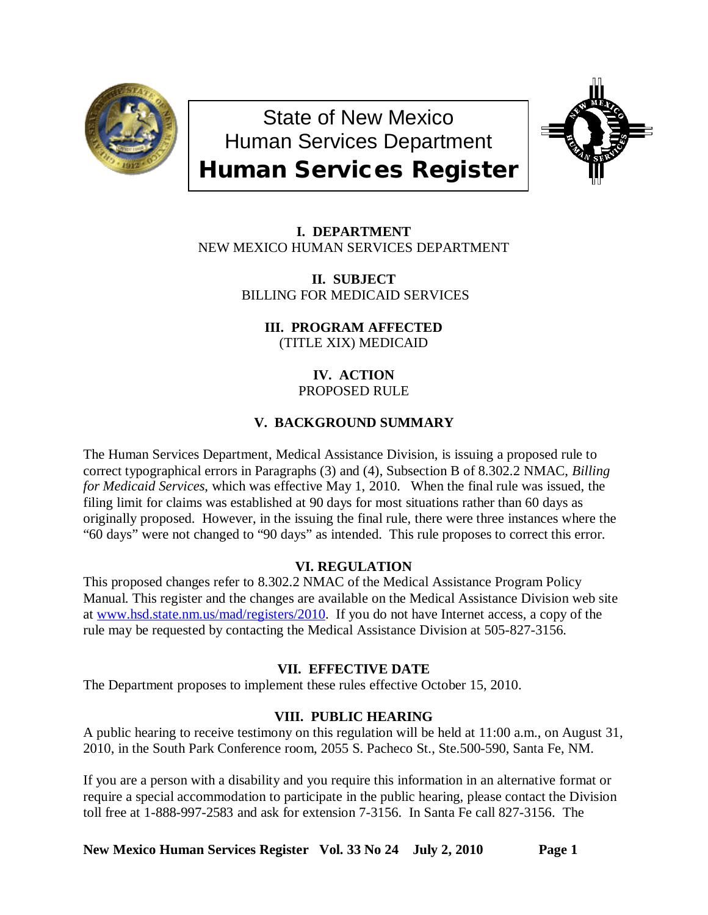

State of New Mexico Human Services Department Human Services Register



**I. DEPARTMENT** NEW MEXICO HUMAN SERVICES DEPARTMENT

> **II. SUBJECT** BILLING FOR MEDICAID SERVICES

**III. PROGRAM AFFECTED** (TITLE XIX) MEDICAID

> **IV. ACTION** PROPOSED RULE

# **V. BACKGROUND SUMMARY**

The Human Services Department, Medical Assistance Division, is issuing a proposed rule to correct typographical errors in Paragraphs (3) and (4), Subsection B of 8.302.2 NMAC, *Billing for Medicaid Services*, which was effective May 1, 2010. When the final rule was issued, the filing limit for claims was established at 90 days for most situations rather than 60 days as originally proposed. However, in the issuing the final rule, there were three instances where the "60 days" were not changed to "90 days" as intended. This rule proposes to correct this error.

## **VI. REGULATION**

This proposed changes refer to 8.302.2 NMAC of the Medical Assistance Program Policy Manual. This register and the changes are available on the Medical Assistance Division web site at [www.hsd.state.nm.us/mad/registers/2010.](http://www.hsd.state.nm.us/mad/registers/2010) If you do not have Internet access, a copy of the rule may be requested by contacting the Medical Assistance Division at 505-827-3156.

## **VII. EFFECTIVE DATE**

The Department proposes to implement these rules effective October 15, 2010.

## **VIII. PUBLIC HEARING**

A public hearing to receive testimony on this regulation will be held at 11:00 a.m., on August 31, 2010, in the South Park Conference room, 2055 S. Pacheco St., Ste.500-590, Santa Fe, NM.

If you are a person with a disability and you require this information in an alternative format or require a special accommodation to participate in the public hearing, please contact the Division toll free at 1-888-997-2583 and ask for extension 7-3156. In Santa Fe call 827-3156. The

**New Mexico Human Services Register Vol. 33 No 24 July 2, 2010 Page 1**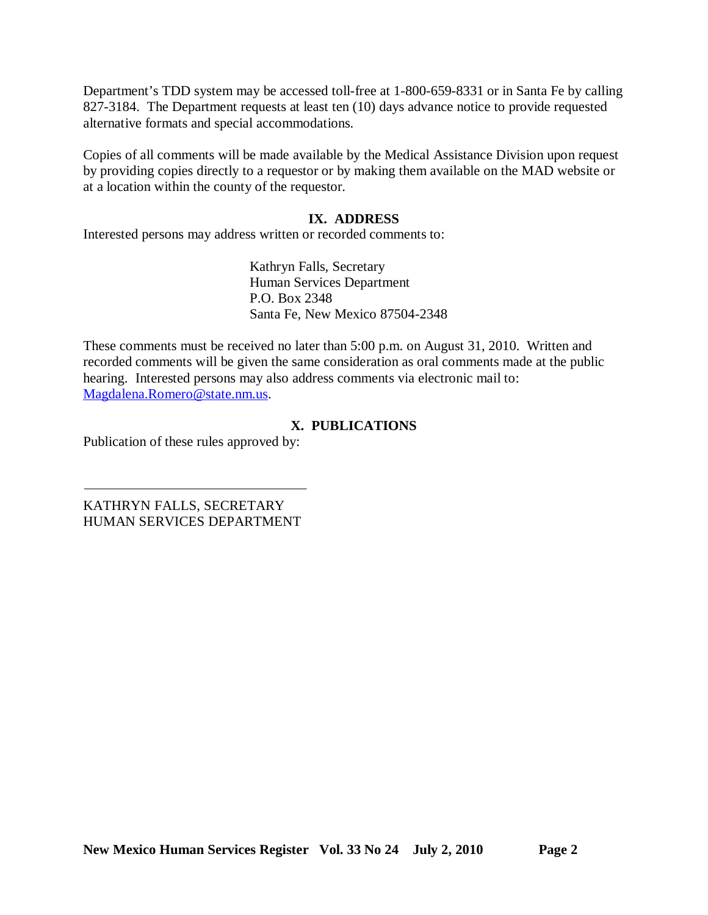Department's TDD system may be accessed toll-free at 1-800-659-8331 or in Santa Fe by calling 827-3184. The Department requests at least ten (10) days advance notice to provide requested alternative formats and special accommodations.

Copies of all comments will be made available by the Medical Assistance Division upon request by providing copies directly to a requestor or by making them available on the MAD website or at a location within the county of the requestor.

### **IX. ADDRESS**

Interested persons may address written or recorded comments to:

Kathryn Falls, Secretary Human Services Department P.O. Box 2348 Santa Fe, New Mexico 87504-2348

These comments must be received no later than 5:00 p.m. on August 31, 2010. Written and recorded comments will be given the same consideration as oral comments made at the public hearing. Interested persons may also address comments via electronic mail to: [Magdalena.Romero@state.nm.us.](mailto:Magdalena.Romero@state.nm.us)

# **X. PUBLICATIONS**

Publication of these rules approved by:

KATHRYN FALLS, SECRETARY HUMAN SERVICES DEPARTMENT